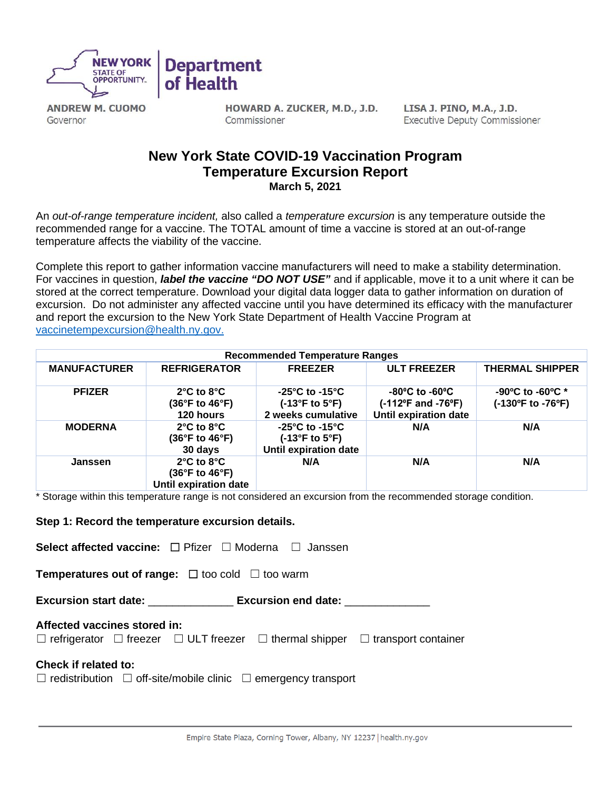

**ANDREW M. CUOMO** Governor

HOWARD A. ZUCKER, M.D., J.D. Commissioner

LISA J. PINO, M.A., J.D. **Executive Deputy Commissioner** 

# **New York State COVID-19 Vaccination Program Temperature Excursion Report March 5, 2021**

An *out-of-range temperature incident,* also called a *temperature excursion* is any temperature outside the recommended range for a vaccine. The TOTAL amount of time a vaccine is stored at an out-of-range temperature affects the viability of the vaccine.

Complete this report to gather information vaccine manufacturers will need to make a stability determination. For vaccines in question, *label the vaccine "DO NOT USE"* and if applicable, move it to a unit where it can be stored at the correct temperature. Download your digital data logger data to gather information on duration of excursion.Do not administer any affected vaccine until you have determined its efficacy with the manufacturer and report the excursion to the New York State Department of Health Vaccine Program at [vaccinetempexcursion@health.ny.gov.](mailto:vaccinetempexcursion@health.ny.gov)

| <b>Recommended Temperature Ranges</b> |                                                                                                           |                                                                                              |                                                                                                                   |                                                           |  |  |
|---------------------------------------|-----------------------------------------------------------------------------------------------------------|----------------------------------------------------------------------------------------------|-------------------------------------------------------------------------------------------------------------------|-----------------------------------------------------------|--|--|
| <b>MANUFACTURER</b>                   | <b>REFRIGERATOR</b>                                                                                       | <b>FREEZER</b>                                                                               | <b>ULT FREEZER</b>                                                                                                | <b>THERMAL SHIPPER</b>                                    |  |  |
| <b>PFIZER</b>                         | $2^{\circ}$ C to $8^{\circ}$ C<br>$(36^{\circ}F \text{ to } 46^{\circ}F)$<br>120 hours                    | $-25^{\circ}$ C to $-15^{\circ}$ C<br>$(-13^{\circ}F$ to $5^{\circ}F)$<br>2 weeks cumulative | $-80^{\circ}$ C to $-60^{\circ}$ C<br>$(-112^{\circ}F \text{ and } -76^{\circ}F)$<br><b>Until expiration date</b> | $-90^{\circ}$ C to $-60^{\circ}$ C *<br>(-130°F to -76°F) |  |  |
| <b>MODERNA</b>                        | $2^{\circ}$ C to $8^{\circ}$ C<br>$(36^{\circ}F$ to $46^{\circ}F)$<br>30 days                             | -25°C to -15°C<br>$(-13^{\circ}F \text{ to } 5^{\circ}F)$<br>Until expiration date           | N/A                                                                                                               | N/A                                                       |  |  |
| Janssen                               | $2^{\circ}$ C to $8^{\circ}$ C<br>$(36^{\circ}F \text{ to } 46^{\circ}F)$<br><b>Until expiration date</b> | N/A                                                                                          | N/A                                                                                                               | N/A                                                       |  |  |

\* Storage within this temperature range is not considered an excursion from the recommended storage condition.

## **Step 1: Record the temperature excursion details.**

**Select affected vaccine:** ☐ Pfizer ☐ Moderna ☐ Janssen

**Temperatures out of range:**  $□$  too cold  $□$  too warm

**Excursion start date:** \_\_\_\_\_\_\_\_\_\_\_\_\_\_ **Excursion end date:** \_\_\_\_\_\_\_\_\_\_\_\_\_\_

## **Affected vaccines stored in:**

☐ refrigerator ☐ freezer ☐ ULT freezer ☐ thermal shipper ☐ transport container

## **Check if related to:**

 $\Box$  redistribution  $\Box$  off-site/mobile clinic  $\Box$  emergency transport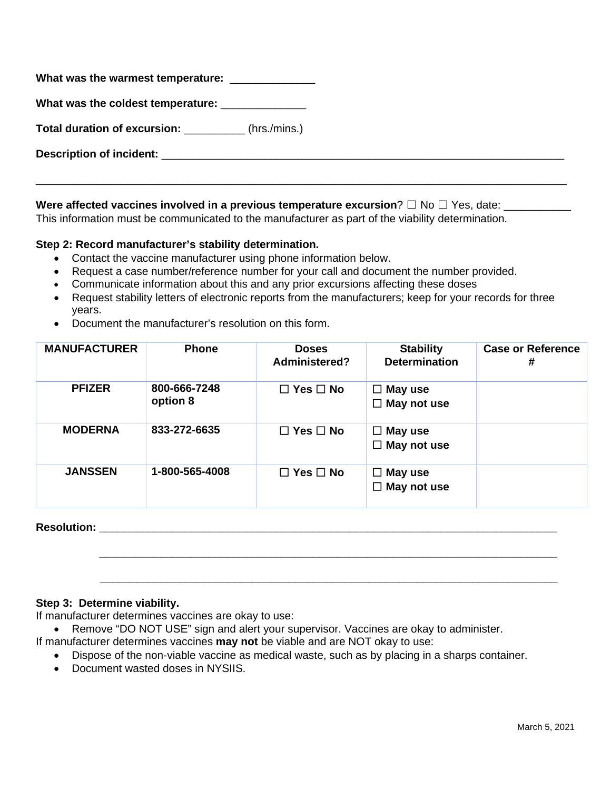| What was the warmest temperature: _______________    |  |
|------------------------------------------------------|--|
| What was the coldest temperature: ______________     |  |
| Total duration of excursion: ___________(hrs./mins.) |  |
|                                                      |  |
|                                                      |  |

## **Were affected vaccines involved in a previous temperature excursion?** □ No □ Yes, date:

This information must be communicated to the manufacturer as part of the viability determination.

## **Step 2: Record manufacturer's stability determination.**

- Contact the vaccine manufacturer using phone information below.
- Request a case number/reference number for your call and document the number provided.
- Communicate information about this and any prior excursions affecting these doses
- Request stability letters of electronic reports from the manufacturers; keep for your records for three years.
- Document the manufacturer's resolution on this form.

| <b>MANUFACTURER</b> | <b>Phone</b>             | <b>Doses</b><br>Administered? | <b>Stability</b><br><b>Determination</b> | <b>Case or Reference</b><br># |
|---------------------|--------------------------|-------------------------------|------------------------------------------|-------------------------------|
| <b>PFIZER</b>       | 800-666-7248<br>option 8 | $\Box$ Yes $\Box$ No          | $\Box$ May use<br>$\Box$ May not use     |                               |
| <b>MODERNA</b>      | 833-272-6635             | $\Box$ Yes $\Box$ No          | $\Box$ May use<br>$\Box$ May not use     |                               |
| <b>JANSSEN</b>      | 1-800-565-4008           | $\Box$ Yes $\Box$ No          | $\Box$ May use<br>$\Box$ May not use     |                               |

# **Resolution: \_\_\_\_\_\_\_\_\_\_\_\_\_\_\_\_\_\_\_\_\_\_\_\_\_\_\_\_\_\_\_\_\_\_\_\_\_\_\_\_\_\_\_\_\_\_\_\_\_\_\_\_\_\_\_\_\_\_\_\_\_\_\_\_\_\_\_\_\_\_\_\_\_\_\_**

## **Step 3: Determine viability.**

If manufacturer determines vaccines are okay to use:

- Remove "DO NOT USE" sign and alert your supervisor. Vaccines are okay to administer.
- If manufacturer determines vaccines **may not** be viable and are NOT okay to use:
	- Dispose of the non-viable vaccine as medical waste, such as by placing in a sharps container.

 **\_\_\_\_\_\_\_\_\_\_\_\_\_\_\_\_\_\_\_\_\_\_\_\_\_\_\_\_\_\_\_\_\_\_\_\_\_\_\_\_\_\_\_\_\_\_\_\_\_\_\_\_\_\_\_\_\_\_\_\_\_\_\_\_\_\_\_\_\_\_\_\_\_\_\_**

 **\_\_\_\_\_\_\_\_\_\_\_\_\_\_\_\_\_\_\_\_\_\_\_\_\_\_\_\_\_\_\_\_\_\_\_\_\_\_\_\_\_\_\_\_\_\_\_\_\_\_\_\_\_\_\_\_\_\_\_\_\_\_\_\_\_\_\_\_\_\_\_\_\_\_\_**

• Document wasted doses in NYSIIS.